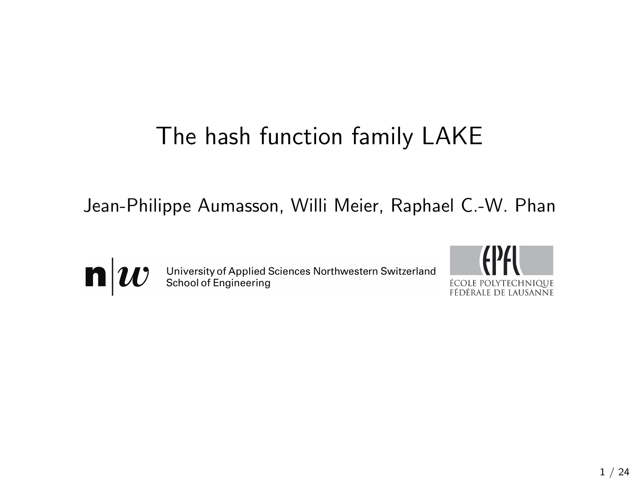## The hash function family LAKE

Jean-Philippe Aumasson, Willi Meier, Raphael C.-W. Phan



University of Applied Sciences Northwestern Switzerland<br>School of Engineering

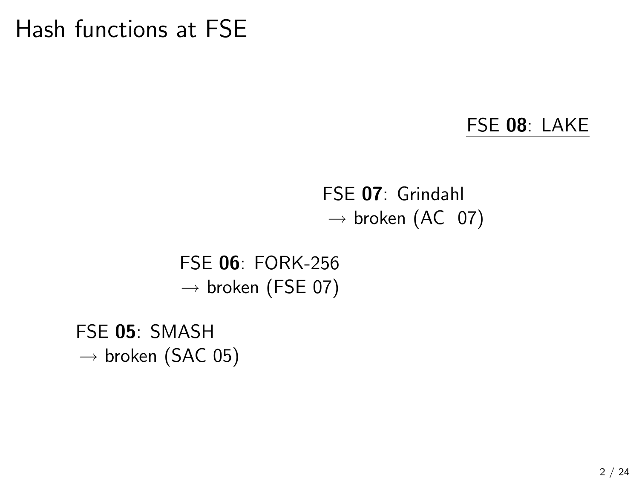## Hash functions at FSE

#### FSE 08: LAKE

### FSE 07: Grindahl  $\rightarrow$  broken (AC 07)

FSE 06: FORK-256  $\rightarrow$  broken (FSE 07)

FSE 05: SMASH  $\rightarrow$  broken (SAC 05)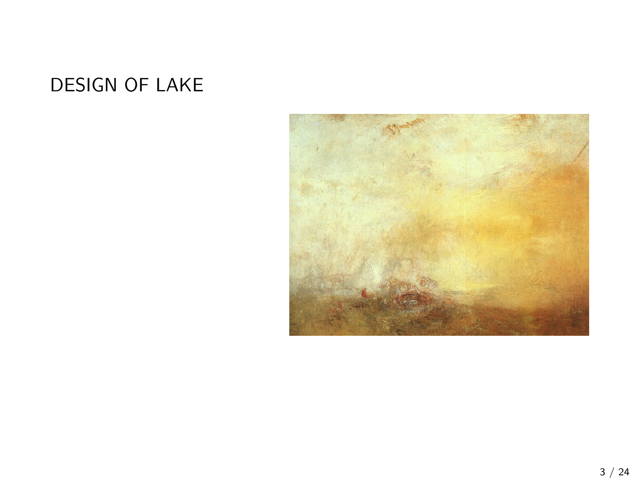### DESIGN OF LAKE

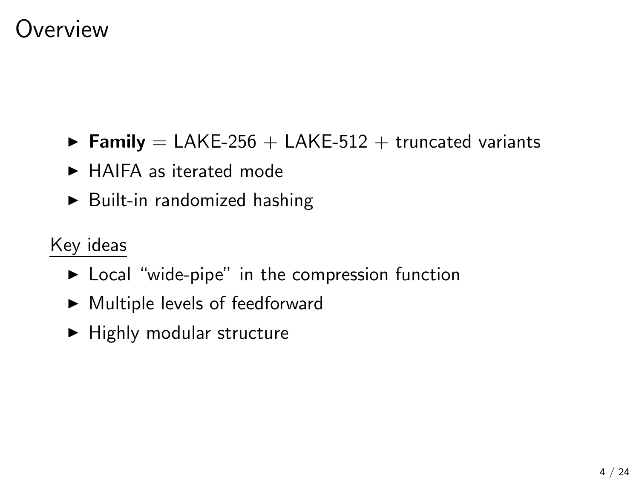### **Overview**

- $\triangleright$  Family = LAKE-256 + LAKE-512 + truncated variants
- $\blacktriangleright$  HAIFA as iterated mode
- $\blacktriangleright$  Built-in randomized hashing

### Key ideas

- $\triangleright$  Local "wide-pipe" in the compression function
- $\blacktriangleright$  Multiple levels of feedforward
- $\blacktriangleright$  Highly modular structure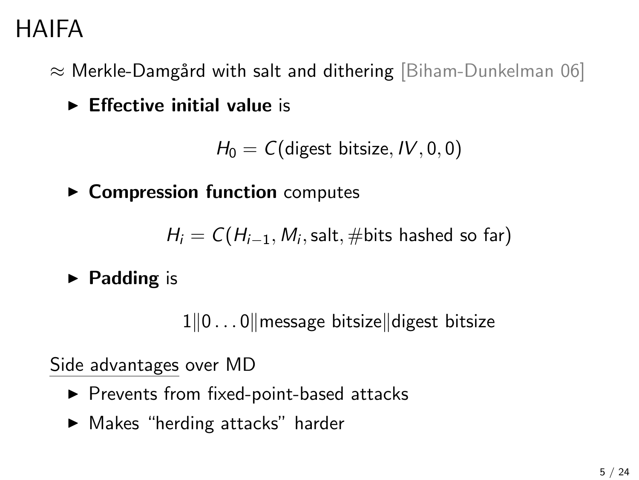# HAIFA

 $\approx$  Merkle-Damgård with salt and dithering [Biham-Dunkelman 06]

 $\blacktriangleright$  Effective initial value is

 $H_0 = C$ (digest bitsize, IV, 0, 0)

 $\triangleright$  Compression function computes

 $H_i = \textit{C}(H_{i-1}, \textit{M}_i, \textsf{salt}, \# \textsf{bits \; hashed \; so \; far})$ 

 $\blacktriangleright$  Padding is

 $1||0...0||$  message bitsize digest bitsize

Side advantages over MD

- $\blacktriangleright$  Prevents from fixed-point-based attacks
- $\blacktriangleright$  Makes "herding attacks" harder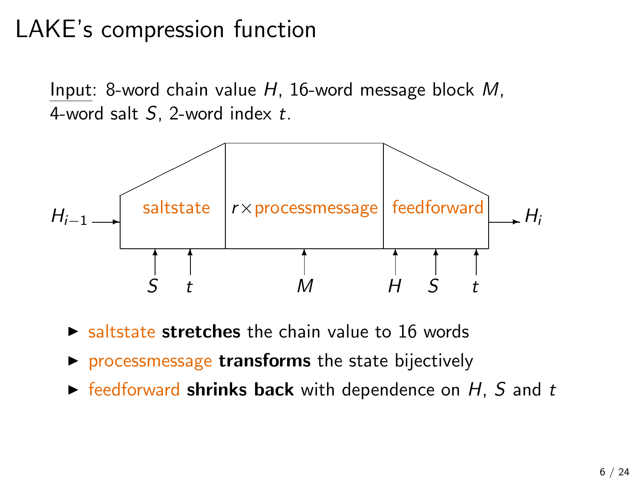# LAKE's compression function

Input: 8-word chain value H, 16-word message block M, 4-word salt  $S$ , 2-word index  $t$ .



- $\triangleright$  saltstate stretches the chain value to 16 words
- $\triangleright$  processmessage transforms the state bijectively
- $\triangleright$  feedforward shrinks back with dependence on H, S and t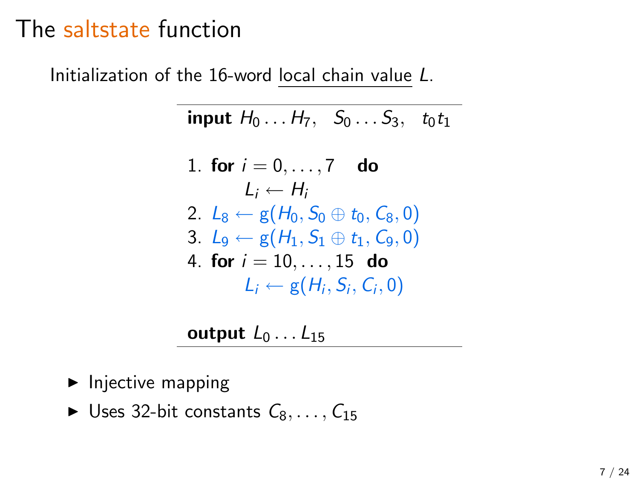### The saltstate function

Initialization of the 16-word local chain value L.

$$
\text{input } H_0 \ldots H_7, \quad S_0 \ldots S_3, \quad t_0 t_1
$$

1. **for** 
$$
i = 0, ..., 7
$$
 **do**  
\n $L_i \leftarrow H_i$   
\n2.  $L_8 \leftarrow g(H_0, S_0 \oplus t_0, C_8, 0)$   
\n3.  $L_9 \leftarrow g(H_1, S_1 \oplus t_1, C_9, 0)$   
\n4. **for**  $i = 10, ..., 15$  **do**  
\n $L_i \leftarrow g(H_i, S_i, C_i, 0)$ 

output  $L_0 \ldots L_{15}$ 

- $\blacktriangleright$  Injective mapping
- $\blacktriangleright$  Uses 32-bit constants  $C_8, \ldots, C_{15}$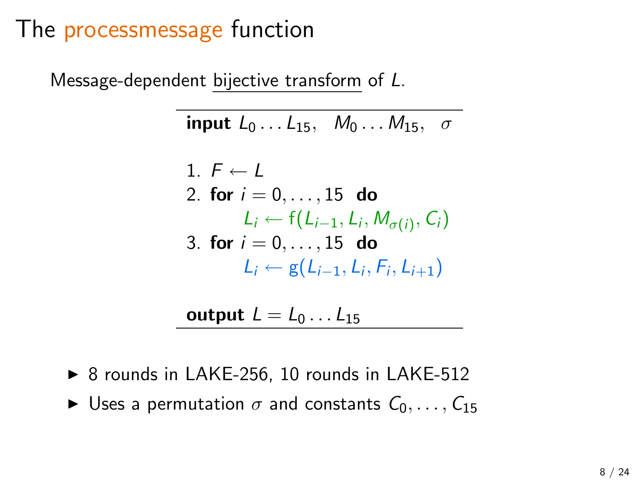### The processmessage function

Message-dependent bijective transform of L.

input  $L_0 \ldots L_{15}$ ,  $M_0 \ldots M_{15}$ ,  $\sigma$ 

1. 
$$
F \leftarrow L
$$
  
\n2. **for**  $i = 0, ..., 15$  **do**  
\n $L_i \leftarrow f(L_{i-1}, L_i, M_{\sigma(i)}, C_i)$   
\n3. **for**  $i = 0, ..., 15$  **do**  
\n $L_i \leftarrow g(L_{i-1}, L_i, F_i, L_{i+1})$ 

output  $L = L_0 \ldots L_{15}$ 

- $\triangleright$  8 rounds in LAKE-256, 10 rounds in LAKE-512
- $\triangleright$  Uses a permutation  $\sigma$  and constants  $C_0, \ldots, C_{15}$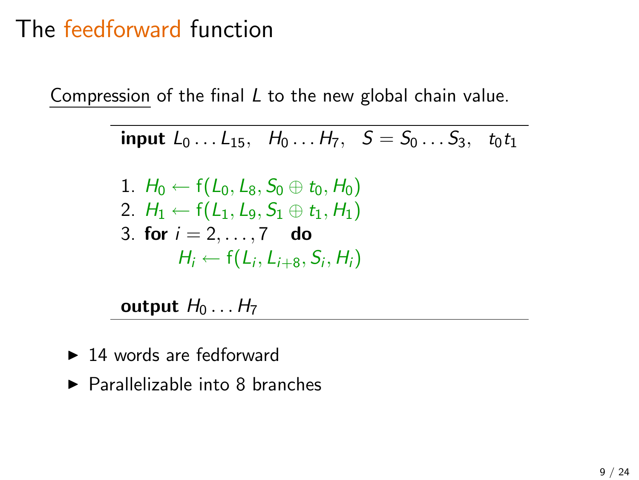## The feedforward function

Compression of the final L to the new global chain value.

input  $L_0 \ldots L_{15}$ ,  $H_0 \ldots H_7$ ,  $S = S_0 \ldots S_3$ , to the 1.  $H_0 \leftarrow f(L_0, L_8, S_0 \oplus t_0, H_0)$ 2.  $H_1 \leftarrow f(L_1, L_9, S_1 \oplus t_1, H_1)$ 3. for  $i = 2, ..., 7$  do  $H_i \leftarrow f(L_i, L_{i+8}, S_i, H_i)$ 

output  $H_0 \ldots H_7$ 

- $\blacktriangleright$  14 words are fedforward
- $\blacktriangleright$  Parallelizable into 8 branches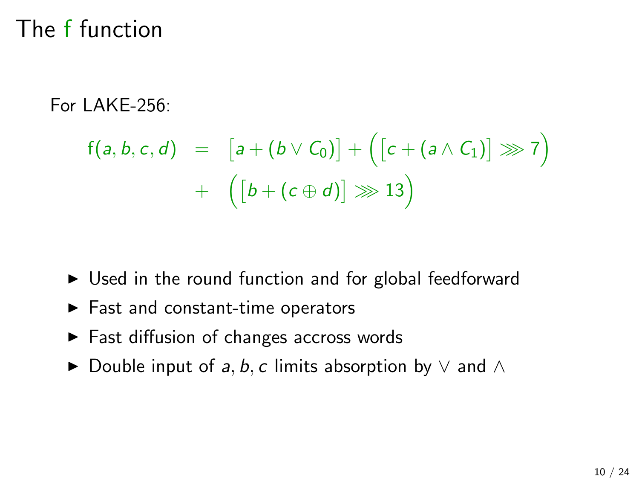## The f function

#### For LAKE-256:

$$
f(a, b, c, d) = [a + (b \vee C_0)] + ([c + (a \wedge C_1)] \ggg 7) + ([b + (c \oplus d)] \ggg 13)
$$

- $\triangleright$  Used in the round function and for global feedforward
- $\blacktriangleright$  Fast and constant-time operators
- $\blacktriangleright$  Fast diffusion of changes accross words
- $\triangleright$  Double input of a, b, c limits absorption by  $\vee$  and  $\wedge$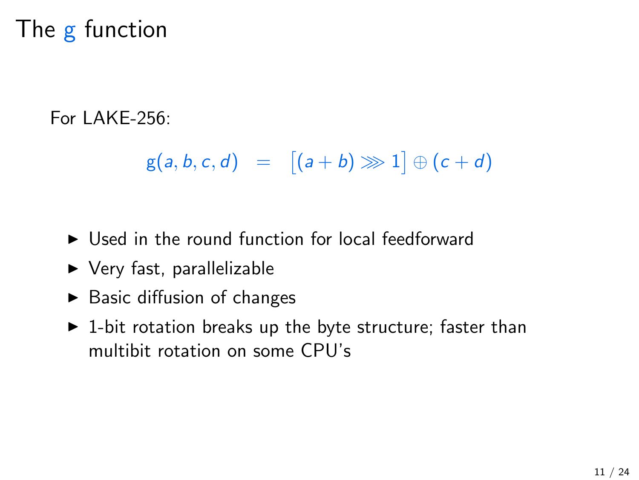# The g function

#### For LAKE-256:

 $g(a, b, c, d) = [(a + b) \ggg 1] \oplus (c + d)$ 

- $\triangleright$  Used in the round function for local feedforward
- $\triangleright$  Very fast, parallelizable
- $\blacktriangleright$  Basic diffusion of changes
- $\triangleright$  1-bit rotation breaks up the byte structure; faster than multibit rotation on some CPU's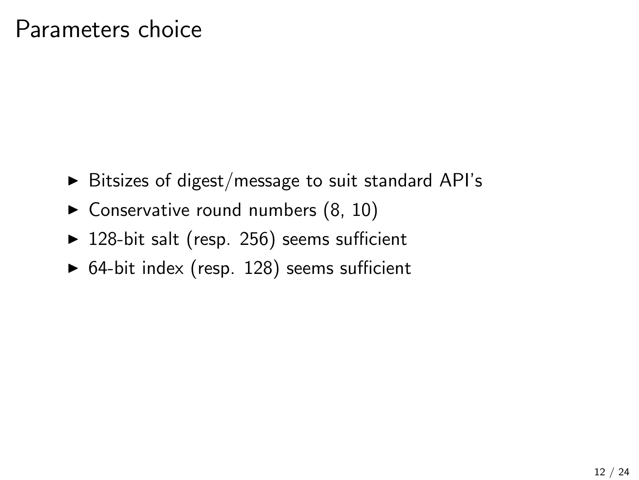### Parameters choice

- $\triangleright$  Bitsizes of digest/message to suit standard API's
- $\blacktriangleright$  Conservative round numbers (8, 10)
- $\blacktriangleright$  128-bit salt (resp. 256) seems sufficient
- $\triangleright$  64-bit index (resp. 128) seems sufficient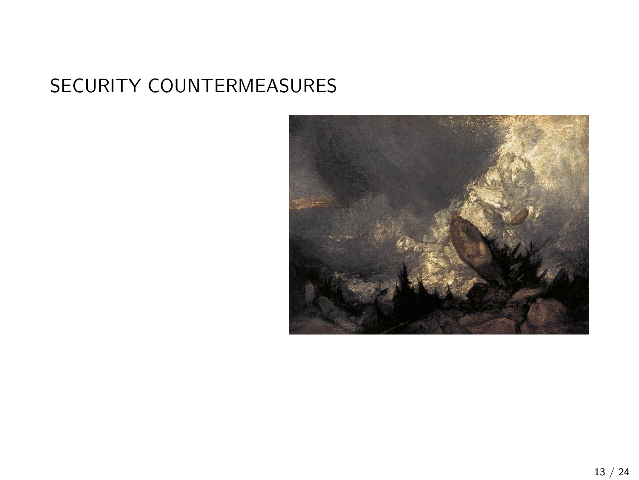### SECURITY COUNTERMEASURES

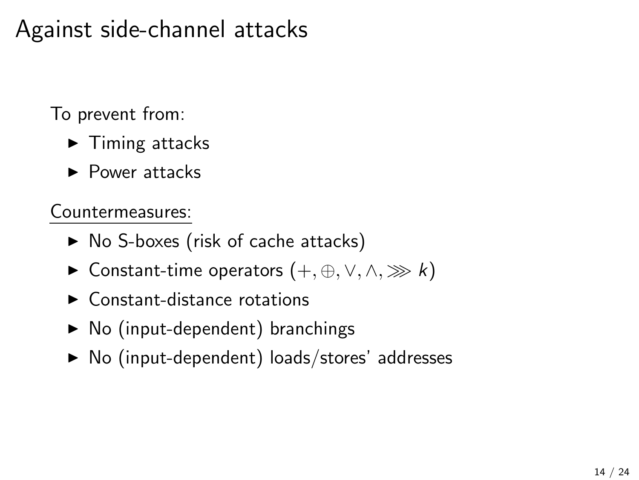## Against side-channel attacks

To prevent from:

- $\blacktriangleright$  Timing attacks
- $\blacktriangleright$  Power attacks

Countermeasures:

- $\triangleright$  No S-boxes (risk of cache attacks)
- $\triangleright$  Constant-time operators  $(+, \oplus, \vee, \wedge, \ggg k)$
- $\blacktriangleright$  Constant-distance rotations
- $\triangleright$  No (input-dependent) branchings
- $\triangleright$  No (input-dependent) loads/stores' addresses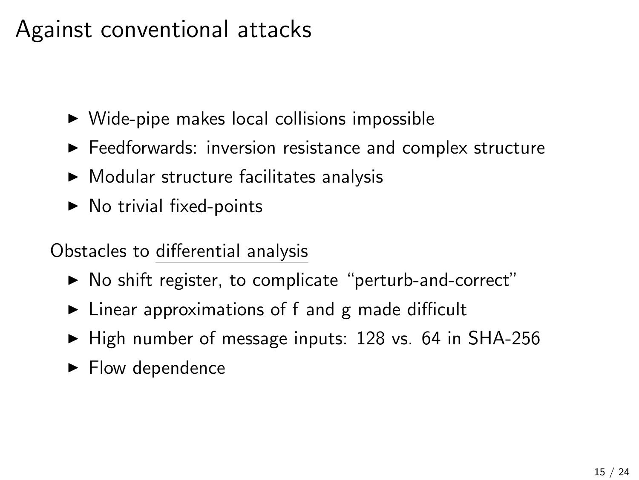## Against conventional attacks

- $\triangleright$  Wide-pipe makes local collisions impossible
- $\blacktriangleright$  Feedforwards: inversion resistance and complex structure
- $\blacktriangleright$  Modular structure facilitates analysis
- $\triangleright$  No trivial fixed-points

Obstacles to differential analysis

- $\triangleright$  No shift register, to complicate "perturb-and-correct"
- $\triangleright$  Linear approximations of f and g made difficult
- $\blacktriangleright$  High number of message inputs: 128 vs. 64 in SHA-256
- $\blacktriangleright$  Flow dependence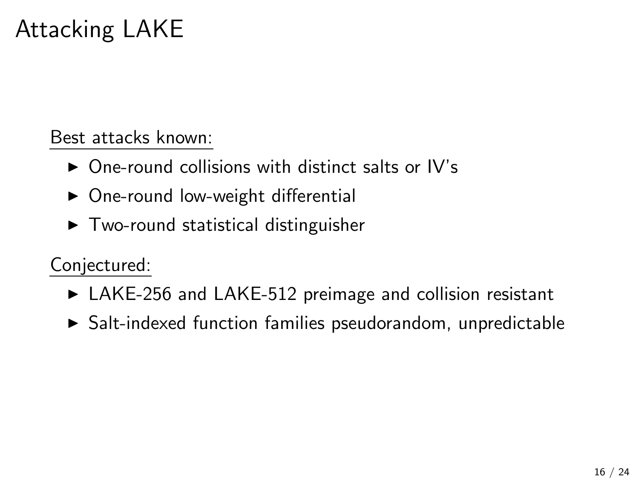# Attacking LAKE

Best attacks known:

- $\triangleright$  One-round collisions with distinct salts or IV's
- $\triangleright$  One-round low-weight differential
- $\triangleright$  Two-round statistical distinguisher

Conjectured:

- $\triangleright$  LAKE-256 and LAKE-512 preimage and collision resistant
- $\triangleright$  Salt-indexed function families pseudorandom, unpredictable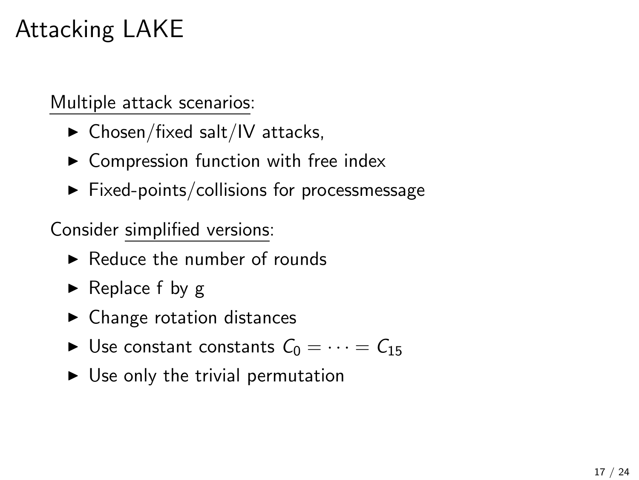# Attacking LAKE

Multiple attack scenarios:

- $\blacktriangleright$  Chosen/fixed salt/IV attacks,
- $\triangleright$  Compression function with free index
- $\blacktriangleright$  Fixed-points/collisions for processmessage

Consider simplified versions:

- $\blacktriangleright$  Reduce the number of rounds
- $\blacktriangleright$  Replace f by g
- $\blacktriangleright$  Change rotation distances
- $\triangleright$  Use constant constants  $C_0 = \cdots = C_{15}$
- $\triangleright$  Use only the trivial permutation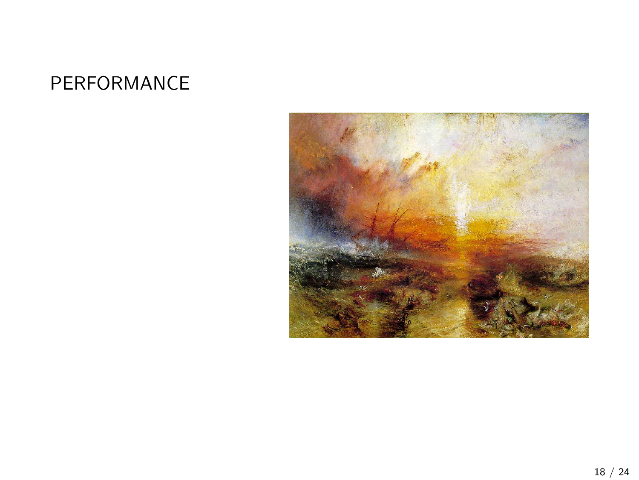### PERFORMANCE

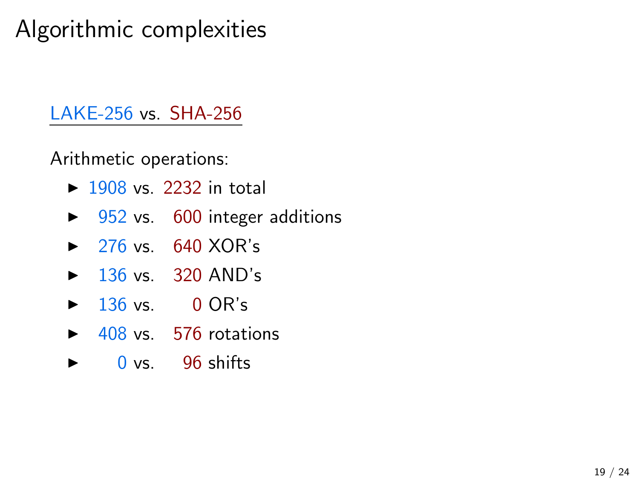# Algorithmic complexities

### LAKE-256 vs. SHA-256

Arithmetic operations:

- $\blacktriangleright$  1908 vs. 2232 in total
- $\triangleright$  952 vs. 600 integer additions
- $\triangleright$  276 vs. 640 XOR's
- $\blacktriangleright$  136 vs. 320 AND's
- $\blacktriangleright$  136 vs. 0 OR's
- $\blacktriangleright$  408 vs. 576 rotations
- $\triangleright$  0 vs. 96 shifts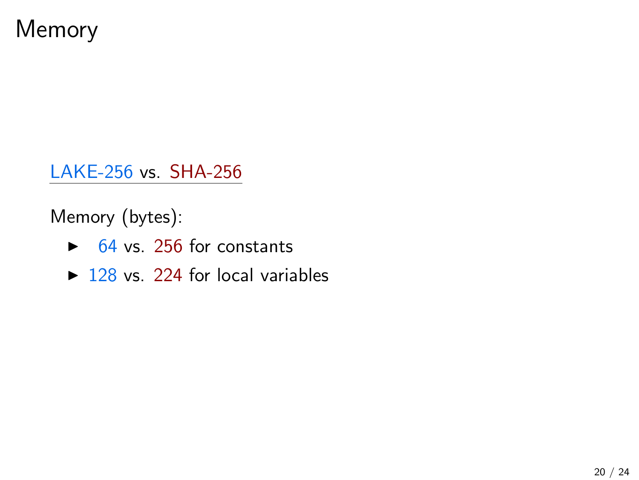Memory

LAKE-256 vs. SHA-256

Memory (bytes):

- $\triangleright$  64 vs. 256 for constants
- $\triangleright$  128 vs. 224 for local variables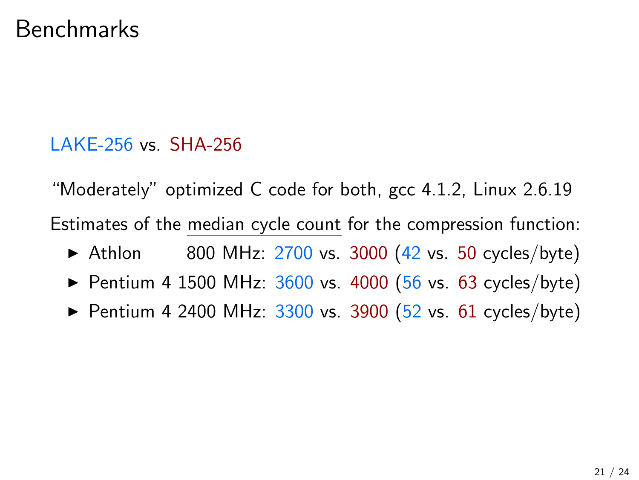### Benchmarks

LAKE-256 vs. SHA-256

"Moderately" optimized C code for both, gcc 4.1.2, Linux 2.6.19 Estimates of the median cycle count for the compression function:  $\blacktriangleright$  Athlon 800 MHz: 2700 vs. 3000 (42 vs. 50 cycles/byte) ▶ Pentium 4 1500 MHz:  $3600$  vs. 4000 (56 vs. 63 cycles/byte)

Pentium 4 2400 MHz:  $3300$  vs.  $3900$  (52 vs. 61 cycles/byte)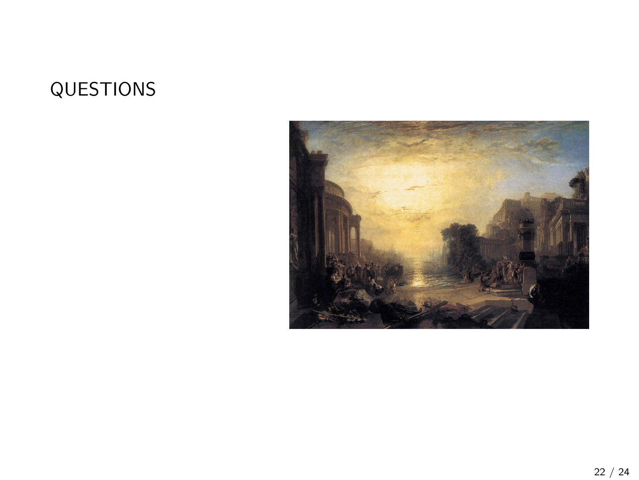### QUESTIONS

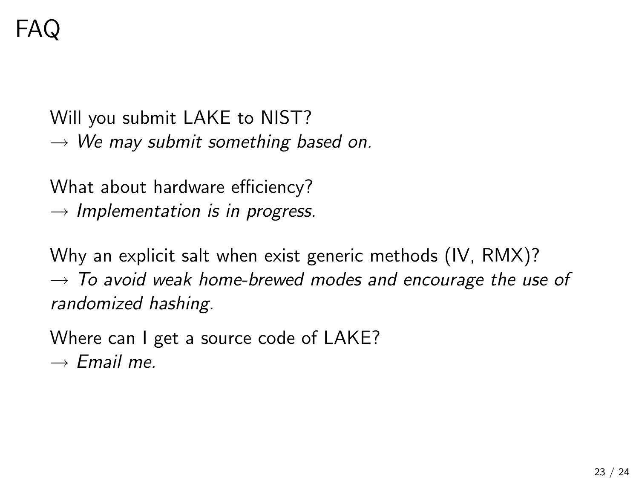Will you submit LAKE to NIST?  $\rightarrow$  We may submit something based on.

What about hardware efficiency?  $\rightarrow$  Implementation is in progress.

Why an explicit salt when exist generic methods (IV, RMX)?  $\rightarrow$  To avoid weak home-brewed modes and encourage the use of randomized hashing.

Where can I get a source code of LAKE?  $\rightarrow$  Email me.